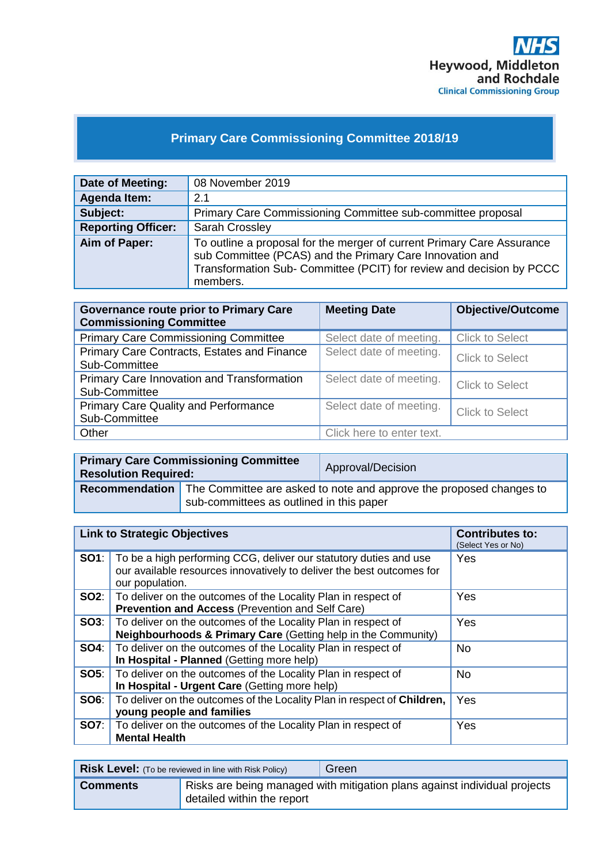

# **Primary Care Commissioning Committee 2018/19**

| Date of Meeting:          | 08 November 2019                                                                                                                                                                                                       |
|---------------------------|------------------------------------------------------------------------------------------------------------------------------------------------------------------------------------------------------------------------|
| <b>Agenda Item:</b>       | 2.1                                                                                                                                                                                                                    |
| Subject:                  | Primary Care Commissioning Committee sub-committee proposal                                                                                                                                                            |
| <b>Reporting Officer:</b> | Sarah Crossley                                                                                                                                                                                                         |
| Aim of Paper:             | To outline a proposal for the merger of current Primary Care Assurance<br>sub Committee (PCAS) and the Primary Care Innovation and<br>Transformation Sub- Committee (PCIT) for review and decision by PCCC<br>members. |

| <b>Governance route prior to Primary Care</b><br><b>Commissioning Committee</b> | <b>Meeting Date</b>       | <b>Objective/Outcome</b> |
|---------------------------------------------------------------------------------|---------------------------|--------------------------|
| <b>Primary Care Commissioning Committee</b>                                     | Select date of meeting.   | <b>Click to Select</b>   |
| Primary Care Contracts, Estates and Finance<br>Sub-Committee                    | Select date of meeting.   | <b>Click to Select</b>   |
| Primary Care Innovation and Transformation<br>Sub-Committee                     | Select date of meeting.   | <b>Click to Select</b>   |
| <b>Primary Care Quality and Performance</b><br>Sub-Committee                    | Select date of meeting.   | <b>Click to Select</b>   |
| Other                                                                           | Click here to enter text. |                          |

| <b>Resolution Required:</b> | <b>Primary Care Commissioning Committee</b>                                                                                           | Approval/Decision |
|-----------------------------|---------------------------------------------------------------------------------------------------------------------------------------|-------------------|
|                             | <b>Recommendation</b> The Committee are asked to note and approve the proposed changes to<br>sub-committees as outlined in this paper |                   |

| <b>Link to Strategic Objectives</b> |                                                                                                                                                               | <b>Contributes to:</b><br>(Select Yes or No) |
|-------------------------------------|---------------------------------------------------------------------------------------------------------------------------------------------------------------|----------------------------------------------|
| SO1:                                | To be a high performing CCG, deliver our statutory duties and use<br>our available resources innovatively to deliver the best outcomes for<br>our population. | Yes                                          |
| SO2:                                | To deliver on the outcomes of the Locality Plan in respect of<br>Prevention and Access (Prevention and Self Care)                                             | Yes                                          |
| SO3:                                | To deliver on the outcomes of the Locality Plan in respect of<br>Neighbourhoods & Primary Care (Getting help in the Community)                                | Yes                                          |
| <b>SO4:</b>                         | To deliver on the outcomes of the Locality Plan in respect of<br>In Hospital - Planned (Getting more help)                                                    | No.                                          |
| SO5:                                | To deliver on the outcomes of the Locality Plan in respect of<br>In Hospital - Urgent Care (Getting more help)                                                | <b>No</b>                                    |
| SO6:                                | To deliver on the outcomes of the Locality Plan in respect of Children,<br>young people and families                                                          | Yes                                          |
| <b>SO7:</b>                         | To deliver on the outcomes of the Locality Plan in respect of<br><b>Mental Health</b>                                                                         | Yes                                          |

|                 | <b>Risk Level:</b> (To be reviewed in line with Risk Policy)                                            | Green |
|-----------------|---------------------------------------------------------------------------------------------------------|-------|
| <b>Comments</b> | Risks are being managed with mitigation plans against individual projects<br>detailed within the report |       |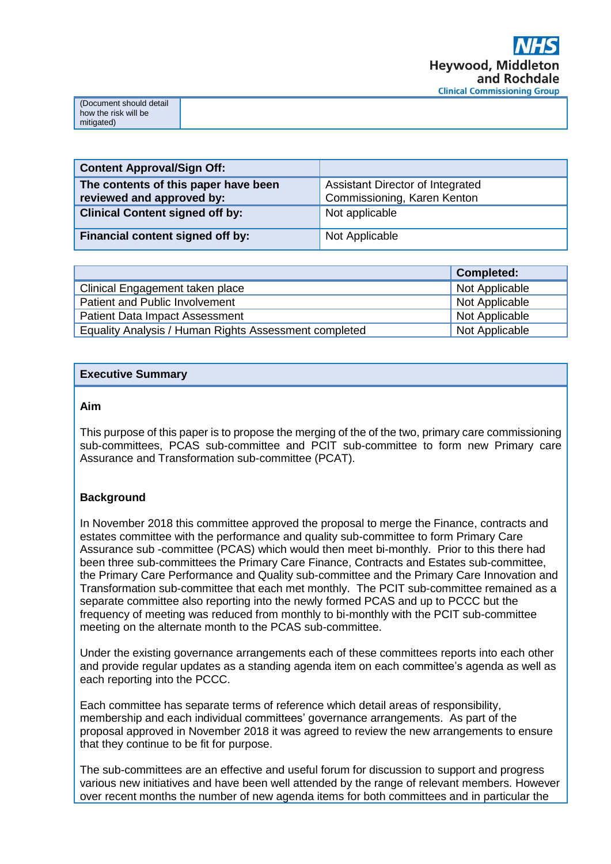| (Document should detail |  |
|-------------------------|--|
|                         |  |
|                         |  |
| how the risk will be    |  |
|                         |  |
|                         |  |
|                         |  |
|                         |  |

| <b>Content Approval/Sign Off:</b>                                 |                                                                 |
|-------------------------------------------------------------------|-----------------------------------------------------------------|
| The contents of this paper have been<br>reviewed and approved by: | Assistant Director of Integrated<br>Commissioning, Karen Kenton |
| <b>Clinical Content signed off by:</b>                            | Not applicable                                                  |
| Financial content signed off by:                                  | Not Applicable                                                  |

|                                                       | <b>Completed:</b> |
|-------------------------------------------------------|-------------------|
| Clinical Engagement taken place                       | Not Applicable    |
| Patient and Public Involvement                        | Not Applicable    |
| <b>Patient Data Impact Assessment</b>                 | Not Applicable    |
| Equality Analysis / Human Rights Assessment completed | Not Applicable    |

### **Executive Summary**

#### **Aim**

This purpose of this paper is to propose the merging of the of the two, primary care commissioning sub-committees, PCAS sub-committee and PCIT sub-committee to form new Primary care Assurance and Transformation sub-committee (PCAT).

## **Background**

In November 2018 this committee approved the proposal to merge the Finance, contracts and estates committee with the performance and quality sub-committee to form Primary Care Assurance sub -committee (PCAS) which would then meet bi-monthly. Prior to this there had been three sub-committees the Primary Care Finance, Contracts and Estates sub-committee, the Primary Care Performance and Quality sub-committee and the Primary Care Innovation and Transformation sub-committee that each met monthly. The PCIT sub-committee remained as a separate committee also reporting into the newly formed PCAS and up to PCCC but the frequency of meeting was reduced from monthly to bi-monthly with the PCIT sub-committee meeting on the alternate month to the PCAS sub-committee.

Under the existing governance arrangements each of these committees reports into each other and provide regular updates as a standing agenda item on each committee's agenda as well as each reporting into the PCCC.

Each committee has separate terms of reference which detail areas of responsibility, membership and each individual committees' governance arrangements. As part of the proposal approved in November 2018 it was agreed to review the new arrangements to ensure that they continue to be fit for purpose.

The sub-committees are an effective and useful forum for discussion to support and progress various new initiatives and have been well attended by the range of relevant members. However over recent months the number of new agenda items for both committees and in particular the